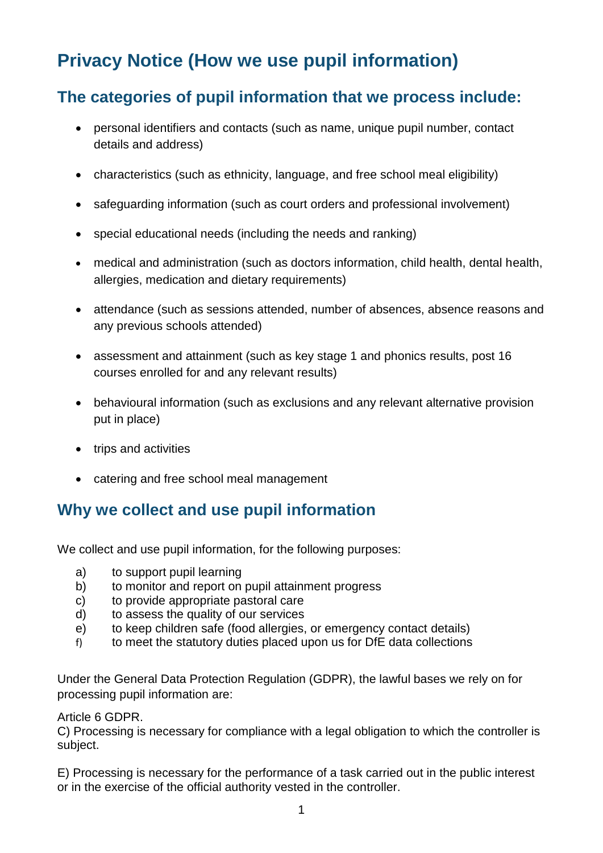# **Privacy Notice (How we use pupil information)**

## **The categories of pupil information that we process include:**

- personal identifiers and contacts (such as name, unique pupil number, contact details and address)
- characteristics (such as ethnicity, language, and free school meal eligibility)
- safeguarding information (such as court orders and professional involvement)
- special educational needs (including the needs and ranking)
- medical and administration (such as doctors information, child health, dental health, allergies, medication and dietary requirements)
- attendance (such as sessions attended, number of absences, absence reasons and any previous schools attended)
- assessment and attainment (such as key stage 1 and phonics results, post 16 courses enrolled for and any relevant results)
- behavioural information (such as exclusions and any relevant alternative provision put in place)
- trips and activities
- catering and free school meal management

## **Why we collect and use pupil information**

We collect and use pupil information, for the following purposes:

- a) to support pupil learning
- b) to monitor and report on pupil attainment progress
- c) to provide appropriate pastoral care
- d) to assess the quality of our services
- e) to keep children safe (food allergies, or emergency contact details)
- f) to meet the statutory duties placed upon us for DfE data collections

Under the General Data Protection Regulation (GDPR), the lawful bases we rely on for processing pupil information are:

#### Article 6 GDPR.

C) Processing is necessary for compliance with a legal obligation to which the controller is subject.

E) Processing is necessary for the performance of a task carried out in the public interest or in the exercise of the official authority vested in the controller.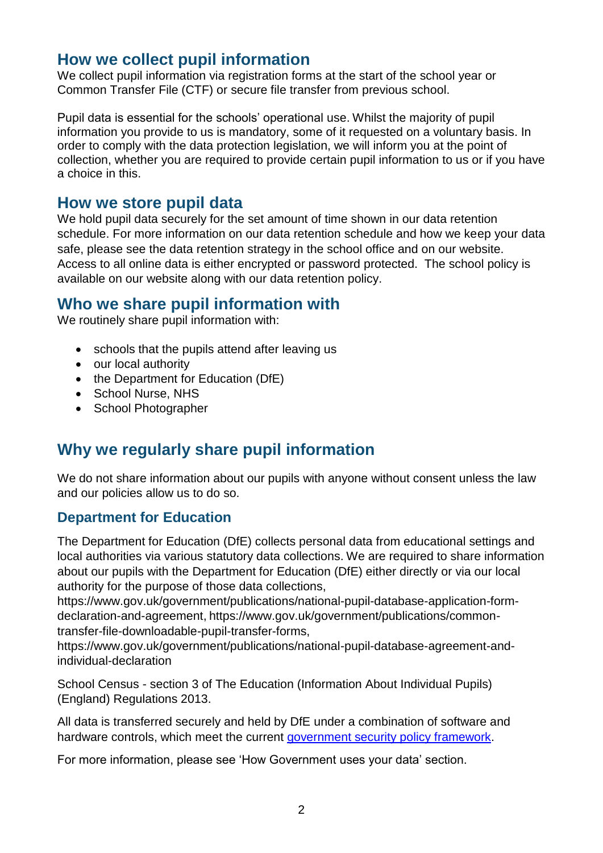#### **How we collect pupil information**

We collect pupil information via registration forms at the start of the school year or Common Transfer File (CTF) or secure file transfer from previous school.

Pupil data is essential for the schools' operational use. Whilst the majority of pupil information you provide to us is mandatory, some of it requested on a voluntary basis. In order to comply with the data protection legislation, we will inform you at the point of collection, whether you are required to provide certain pupil information to us or if you have a choice in this.

#### **How we store pupil data**

We hold pupil data securely for the set amount of time shown in our data retention schedule. For more information on our data retention schedule and how we keep your data safe, please see the data retention strategy in the school office and on our website. Access to all online data is either encrypted or password protected. The school policy is available on our website along with our data retention policy.

#### **Who we share pupil information with**

We routinely share pupil information with:

- schools that the pupils attend after leaving us
- our local authority
- the Department for Education (DfE)
- School Nurse, NHS
- School Photographer

## **Why we regularly share pupil information**

We do not share information about our pupils with anyone without consent unless the law and our policies allow us to do so.

#### **Department for Education**

The Department for Education (DfE) collects personal data from educational settings and local authorities via various statutory data collections. We are required to share information about our pupils with the Department for Education (DfE) either directly or via our local authority for the purpose of those data collections,

https://www.gov.uk/government/publications/national-pupil-database-application-formdeclaration-and-agreement, https://www.gov.uk/government/publications/commontransfer-file-downloadable-pupil-transfer-forms,

https://www.gov.uk/government/publications/national-pupil-database-agreement-andindividual-declaration

School Census - section 3 of The Education (Information About Individual Pupils) (England) Regulations 2013.

All data is transferred securely and held by DfE under a combination of software and hardware controls, which meet the current [government security policy framework.](https://www.gov.uk/government/publications/security-policy-framework)

For more information, please see 'How Government uses your data' section.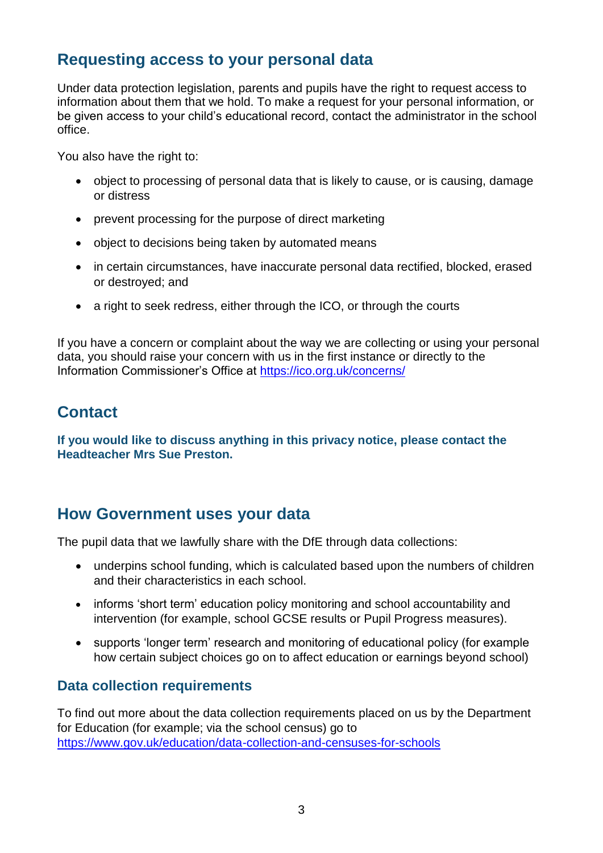### **Requesting access to your personal data**

Under data protection legislation, parents and pupils have the right to request access to information about them that we hold. To make a request for your personal information, or be given access to your child's educational record, contact the administrator in the school office.

You also have the right to:

- object to processing of personal data that is likely to cause, or is causing, damage or distress
- prevent processing for the purpose of direct marketing
- object to decisions being taken by automated means
- in certain circumstances, have inaccurate personal data rectified, blocked, erased or destroyed; and
- a right to seek redress, either through the ICO, or through the courts

If you have a concern or complaint about the way we are collecting or using your personal data, you should raise your concern with us in the first instance or directly to the Information Commissioner's Office at<https://ico.org.uk/concerns/>

### **Contact**

**If you would like to discuss anything in this privacy notice, please contact the Headteacher Mrs Sue Preston.**

#### **How Government uses your data**

The pupil data that we lawfully share with the DfE through data collections:

- underpins school funding, which is calculated based upon the numbers of children and their characteristics in each school.
- informs 'short term' education policy monitoring and school accountability and intervention (for example, school GCSE results or Pupil Progress measures).
- supports 'longer term' research and monitoring of educational policy (for example how certain subject choices go on to affect education or earnings beyond school)

#### **Data collection requirements**

To find out more about the data collection requirements placed on us by the Department for Education (for example; via the school census) go to <https://www.gov.uk/education/data-collection-and-censuses-for-schools>